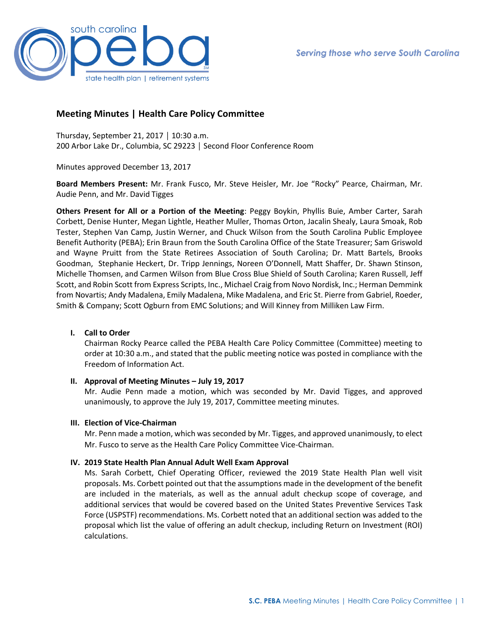

# **Meeting Minutes | Health Care Policy Committee**

Thursday, September 21, 2017 │ 10:30 a.m. 200 Arbor Lake Dr., Columbia, SC 29223 │ Second Floor Conference Room

Minutes approved December 13, 2017

**Board Members Present:** Mr. Frank Fusco, Mr. Steve Heisler, Mr. Joe "Rocky" Pearce, Chairman, Mr. Audie Penn, and Mr. David Tigges

**Others Present for All or a Portion of the Meeting**: Peggy Boykin, Phyllis Buie, Amber Carter, Sarah Corbett, Denise Hunter, Megan Lightle, Heather Muller, Thomas Orton, Jacalin Shealy, Laura Smoak, Rob Tester, Stephen Van Camp, Justin Werner, and Chuck Wilson from the South Carolina Public Employee Benefit Authority (PEBA); Erin Braun from the South Carolina Office of the State Treasurer; Sam Griswold and Wayne Pruitt from the State Retirees Association of South Carolina; Dr. Matt Bartels, Brooks Goodman, Stephanie Heckert, Dr. Tripp Jennings, Noreen O'Donnell, Matt Shaffer, Dr. Shawn Stinson, Michelle Thomsen, and Carmen Wilson from Blue Cross Blue Shield of South Carolina; Karen Russell, Jeff Scott, and Robin Scott from Express Scripts, Inc., Michael Craig from Novo Nordisk, Inc.; Herman Demmink from Novartis; Andy Madalena, Emily Madalena, Mike Madalena, and Eric St. Pierre from Gabriel, Roeder, Smith & Company; Scott Ogburn from EMC Solutions; and Will Kinney from Milliken Law Firm.

## **I. Call to Order**

Chairman Rocky Pearce called the PEBA Health Care Policy Committee (Committee) meeting to order at 10:30 a.m., and stated that the public meeting notice was posted in compliance with the Freedom of Information Act.

### **II. Approval of Meeting Minutes – July 19, 2017**

Mr. Audie Penn made a motion, which was seconded by Mr. David Tigges, and approved unanimously, to approve the July 19, 2017, Committee meeting minutes.

### **III. Election of Vice-Chairman**

Mr. Penn made a motion, which was seconded by Mr. Tigges, and approved unanimously, to elect Mr. Fusco to serve as the Health Care Policy Committee Vice-Chairman.

### **IV. 2019 State Health Plan Annual Adult Well Exam Approval**

Ms. Sarah Corbett, Chief Operating Officer, reviewed the 2019 State Health Plan well visit proposals. Ms. Corbett pointed out that the assumptions made in the development of the benefit are included in the materials, as well as the annual adult checkup scope of coverage, and additional services that would be covered based on the United States Preventive Services Task Force (USPSTF) recommendations. Ms. Corbett noted that an additional section was added to the proposal which list the value of offering an adult checkup, including Return on Investment (ROI) calculations.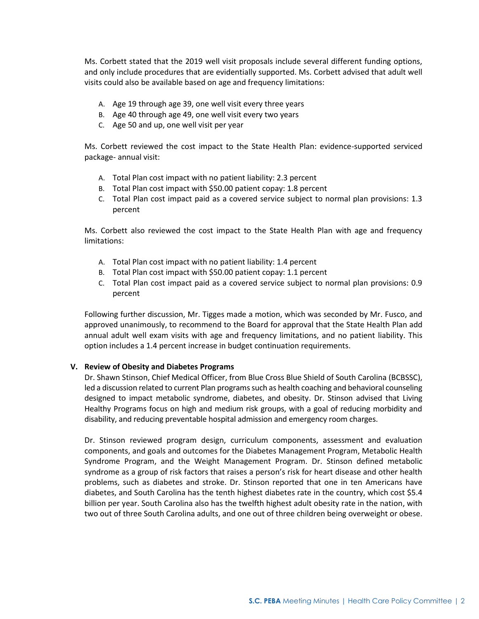Ms. Corbett stated that the 2019 well visit proposals include several different funding options, and only include procedures that are evidentially supported. Ms. Corbett advised that adult well visits could also be available based on age and frequency limitations:

- A. Age 19 through age 39, one well visit every three years
- B. Age 40 through age 49, one well visit every two years
- C. Age 50 and up, one well visit per year

Ms. Corbett reviewed the cost impact to the State Health Plan: evidence-supported serviced package- annual visit:

- A. Total Plan cost impact with no patient liability: 2.3 percent
- B. Total Plan cost impact with \$50.00 patient copay: 1.8 percent
- C. Total Plan cost impact paid as a covered service subject to normal plan provisions: 1.3 percent

Ms. Corbett also reviewed the cost impact to the State Health Plan with age and frequency limitations:

- A. Total Plan cost impact with no patient liability: 1.4 percent
- B. Total Plan cost impact with \$50.00 patient copay: 1.1 percent
- C. Total Plan cost impact paid as a covered service subject to normal plan provisions: 0.9 percent

Following further discussion, Mr. Tigges made a motion, which was seconded by Mr. Fusco, and approved unanimously, to recommend to the Board for approval that the State Health Plan add annual adult well exam visits with age and frequency limitations, and no patient liability. This option includes a 1.4 percent increase in budget continuation requirements.

### **V. Review of Obesity and Diabetes Programs**

Dr. Shawn Stinson, Chief Medical Officer, from Blue Cross Blue Shield of South Carolina (BCBSSC), led a discussion related to current Plan programs such as health coaching and behavioral counseling designed to impact metabolic syndrome, diabetes, and obesity. Dr. Stinson advised that Living Healthy Programs focus on high and medium risk groups, with a goal of reducing morbidity and disability, and reducing preventable hospital admission and emergency room charges.

Dr. Stinson reviewed program design, curriculum components, assessment and evaluation components, and goals and outcomes for the Diabetes Management Program, Metabolic Health Syndrome Program, and the Weight Management Program. Dr. Stinson defined metabolic syndrome as a group of risk factors that raises a person's risk for heart disease and other health problems, such as diabetes and stroke. Dr. Stinson reported that one in ten Americans have diabetes, and South Carolina has the tenth highest diabetes rate in the country, which cost \$5.4 billion per year. South Carolina also has the twelfth highest adult obesity rate in the nation, with two out of three South Carolina adults, and one out of three children being overweight or obese.